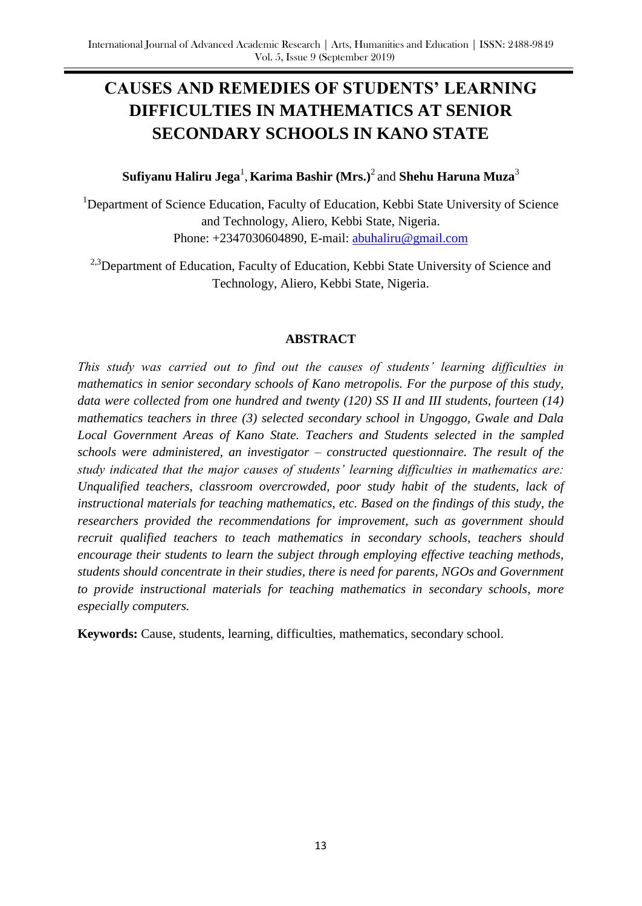# **CAUSES AND REMEDIES OF STUDENTS' LEARNING DIFFICULTIES IN MATHEMATICS AT SENIOR SECONDARY SCHOOLS IN KANO STATE**

## $\mathbf S$ ufiyanu Haliru Jega<sup>1</sup>, Karima Bashir (Mrs.)<sup>2</sup> and Shehu Haruna Muza $^3$

<sup>1</sup>Department of Science Education, Faculty of Education, Kebbi State University of Science and Technology, Aliero, Kebbi State, Nigeria. Phone: +2347030604890, E-mail: [abuhaliru@gmail.com](mailto:abuhaliru@gmail.com)

<sup>2,3</sup>Department of Education, Faculty of Education, Kebbi State University of Science and Technology, Aliero, Kebbi State, Nigeria.

#### **ABSTRACT**

*This study was carried out to find out the causes of students' learning difficulties in mathematics in senior secondary schools of Kano metropolis. For the purpose of this study, data were collected from one hundred and twenty (120) SS II and III students, fourteen (14) mathematics teachers in three (3) selected secondary school in Ungoggo, Gwale and Dala Local Government Areas of Kano State. Teachers and Students selected in the sampled schools were administered, an investigator – constructed questionnaire. The result of the study indicated that the major causes of students' learning difficulties in mathematics are: Unqualified teachers, classroom overcrowded, poor study habit of the students, lack of instructional materials for teaching mathematics, etc. Based on the findings of this study, the researchers provided the recommendations for improvement, such as government should recruit qualified teachers to teach mathematics in secondary schools, teachers should encourage their students to learn the subject through employing effective teaching methods, students should concentrate in their studies, there is need for parents, NGOs and Government to provide instructional materials for teaching mathematics in secondary schools, more especially computers.*

**Keywords:** Cause, students, learning, difficulties, mathematics, secondary school.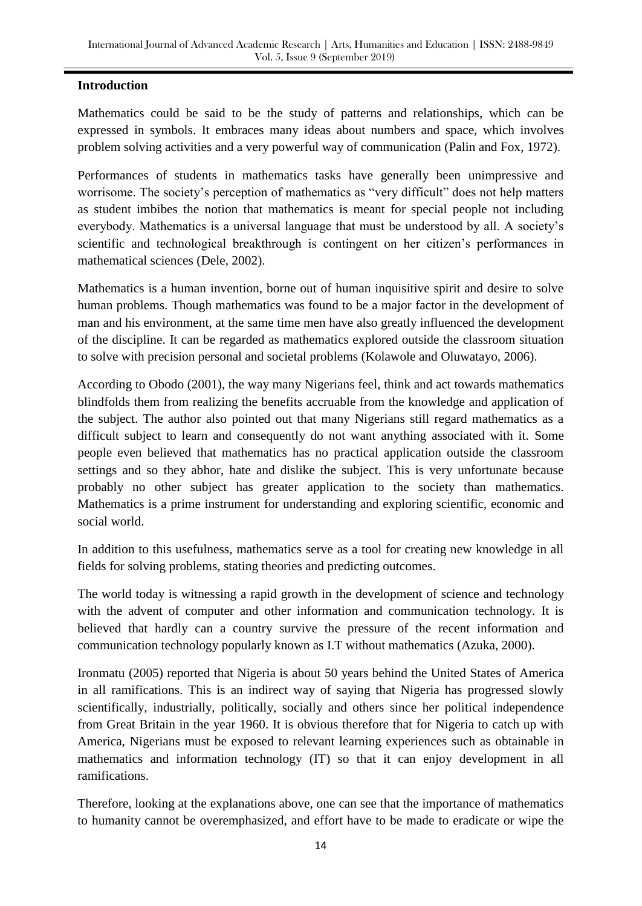## **Introduction**

Mathematics could be said to be the study of patterns and relationships, which can be expressed in symbols. It embraces many ideas about numbers and space, which involves problem solving activities and a very powerful way of communication (Palin and Fox, 1972).

Performances of students in mathematics tasks have generally been unimpressive and worrisome. The society's perception of mathematics as "very difficult" does not help matters as student imbibes the notion that mathematics is meant for special people not including everybody. Mathematics is a universal language that must be understood by all. A society's scientific and technological breakthrough is contingent on her citizen's performances in mathematical sciences (Dele, 2002).

Mathematics is a human invention, borne out of human inquisitive spirit and desire to solve human problems. Though mathematics was found to be a major factor in the development of man and his environment, at the same time men have also greatly influenced the development of the discipline. It can be regarded as mathematics explored outside the classroom situation to solve with precision personal and societal problems (Kolawole and Oluwatayo, 2006).

According to Obodo (2001), the way many Nigerians feel, think and act towards mathematics blindfolds them from realizing the benefits accruable from the knowledge and application of the subject. The author also pointed out that many Nigerians still regard mathematics as a difficult subject to learn and consequently do not want anything associated with it. Some people even believed that mathematics has no practical application outside the classroom settings and so they abhor, hate and dislike the subject. This is very unfortunate because probably no other subject has greater application to the society than mathematics. Mathematics is a prime instrument for understanding and exploring scientific, economic and social world.

In addition to this usefulness, mathematics serve as a tool for creating new knowledge in all fields for solving problems, stating theories and predicting outcomes.

The world today is witnessing a rapid growth in the development of science and technology with the advent of computer and other information and communication technology. It is believed that hardly can a country survive the pressure of the recent information and communication technology popularly known as I.T without mathematics (Azuka, 2000).

Ironmatu (2005) reported that Nigeria is about 50 years behind the United States of America in all ramifications. This is an indirect way of saying that Nigeria has progressed slowly scientifically, industrially, politically, socially and others since her political independence from Great Britain in the year 1960. It is obvious therefore that for Nigeria to catch up with America, Nigerians must be exposed to relevant learning experiences such as obtainable in mathematics and information technology (IT) so that it can enjoy development in all ramifications.

Therefore, looking at the explanations above, one can see that the importance of mathematics to humanity cannot be overemphasized, and effort have to be made to eradicate or wipe the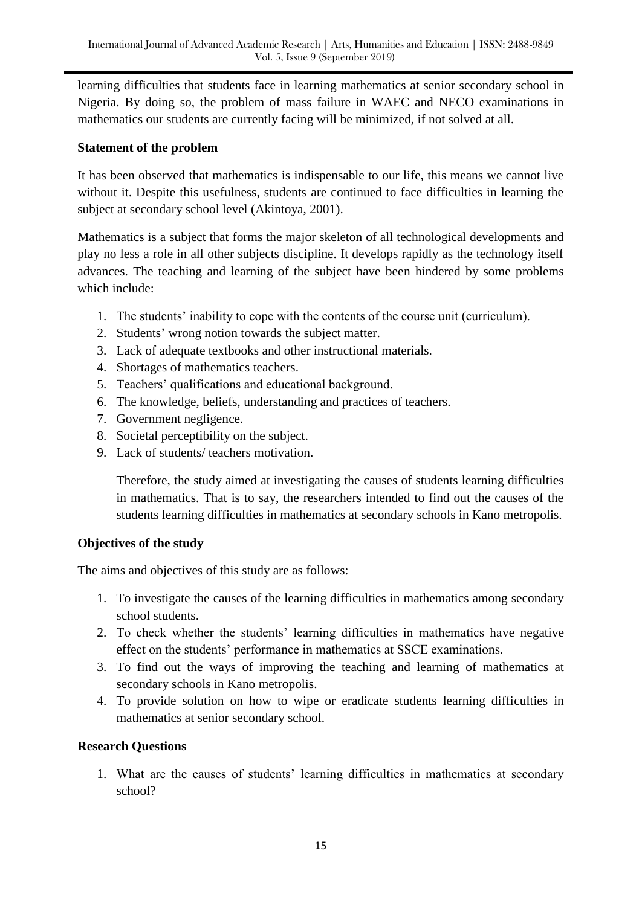learning difficulties that students face in learning mathematics at senior secondary school in Nigeria. By doing so, the problem of mass failure in WAEC and NECO examinations in mathematics our students are currently facing will be minimized, if not solved at all.

## **Statement of the problem**

It has been observed that mathematics is indispensable to our life, this means we cannot live without it. Despite this usefulness, students are continued to face difficulties in learning the subject at secondary school level (Akintoya, 2001).

Mathematics is a subject that forms the major skeleton of all technological developments and play no less a role in all other subjects discipline. It develops rapidly as the technology itself advances. The teaching and learning of the subject have been hindered by some problems which include:

- 1. The students' inability to cope with the contents of the course unit (curriculum).
- 2. Students' wrong notion towards the subject matter.
- 3. Lack of adequate textbooks and other instructional materials.
- 4. Shortages of mathematics teachers.
- 5. Teachers' qualifications and educational background.
- 6. The knowledge, beliefs, understanding and practices of teachers.
- 7. Government negligence.
- 8. Societal perceptibility on the subject.
- 9. Lack of students/ teachers motivation.

Therefore, the study aimed at investigating the causes of students learning difficulties in mathematics. That is to say, the researchers intended to find out the causes of the students learning difficulties in mathematics at secondary schools in Kano metropolis.

# **Objectives of the study**

The aims and objectives of this study are as follows:

- 1. To investigate the causes of the learning difficulties in mathematics among secondary school students.
- 2. To check whether the students' learning difficulties in mathematics have negative effect on the students' performance in mathematics at SSCE examinations.
- 3. To find out the ways of improving the teaching and learning of mathematics at secondary schools in Kano metropolis.
- 4. To provide solution on how to wipe or eradicate students learning difficulties in mathematics at senior secondary school.

# **Research Questions**

1. What are the causes of students' learning difficulties in mathematics at secondary school?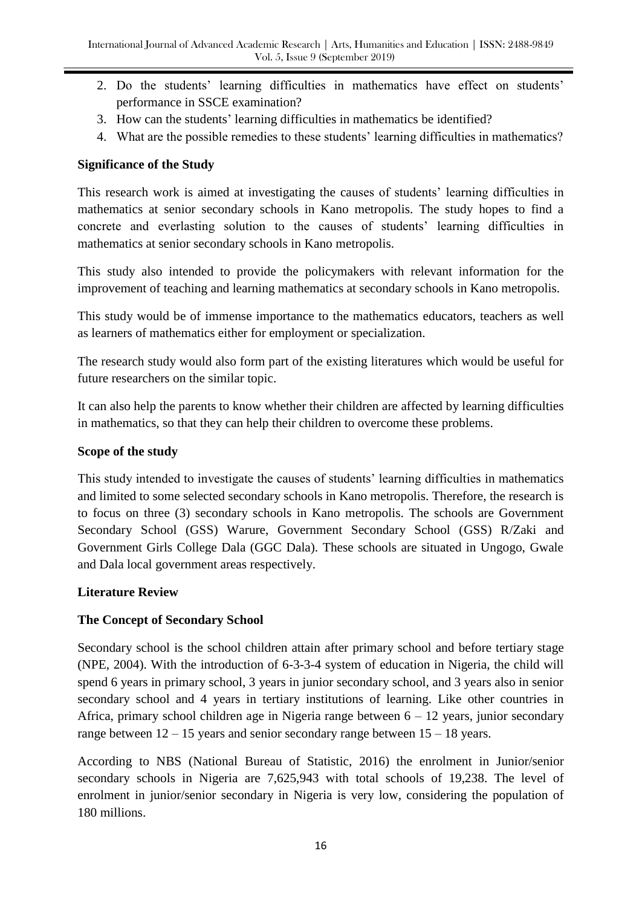- 2. Do the students' learning difficulties in mathematics have effect on students' performance in SSCE examination?
- 3. How can the students' learning difficulties in mathematics be identified?
- 4. What are the possible remedies to these students' learning difficulties in mathematics?

## **Significance of the Study**

This research work is aimed at investigating the causes of students' learning difficulties in mathematics at senior secondary schools in Kano metropolis. The study hopes to find a concrete and everlasting solution to the causes of students' learning difficulties in mathematics at senior secondary schools in Kano metropolis.

This study also intended to provide the policymakers with relevant information for the improvement of teaching and learning mathematics at secondary schools in Kano metropolis.

This study would be of immense importance to the mathematics educators, teachers as well as learners of mathematics either for employment or specialization.

The research study would also form part of the existing literatures which would be useful for future researchers on the similar topic.

It can also help the parents to know whether their children are affected by learning difficulties in mathematics, so that they can help their children to overcome these problems.

## **Scope of the study**

This study intended to investigate the causes of students' learning difficulties in mathematics and limited to some selected secondary schools in Kano metropolis. Therefore, the research is to focus on three (3) secondary schools in Kano metropolis. The schools are Government Secondary School (GSS) Warure, Government Secondary School (GSS) R/Zaki and Government Girls College Dala (GGC Dala). These schools are situated in Ungogo, Gwale and Dala local government areas respectively.

## **Literature Review**

## **The Concept of Secondary School**

Secondary school is the school children attain after primary school and before tertiary stage (NPE, 2004). With the introduction of 6-3-3-4 system of education in Nigeria, the child will spend 6 years in primary school, 3 years in junior secondary school, and 3 years also in senior secondary school and 4 years in tertiary institutions of learning. Like other countries in Africa, primary school children age in Nigeria range between 6 – 12 years, junior secondary range between 12 – 15 years and senior secondary range between 15 – 18 years.

According to NBS (National Bureau of Statistic, 2016) the enrolment in Junior/senior secondary schools in Nigeria are 7,625,943 with total schools of 19,238. The level of enrolment in junior/senior secondary in Nigeria is very low, considering the population of 180 millions.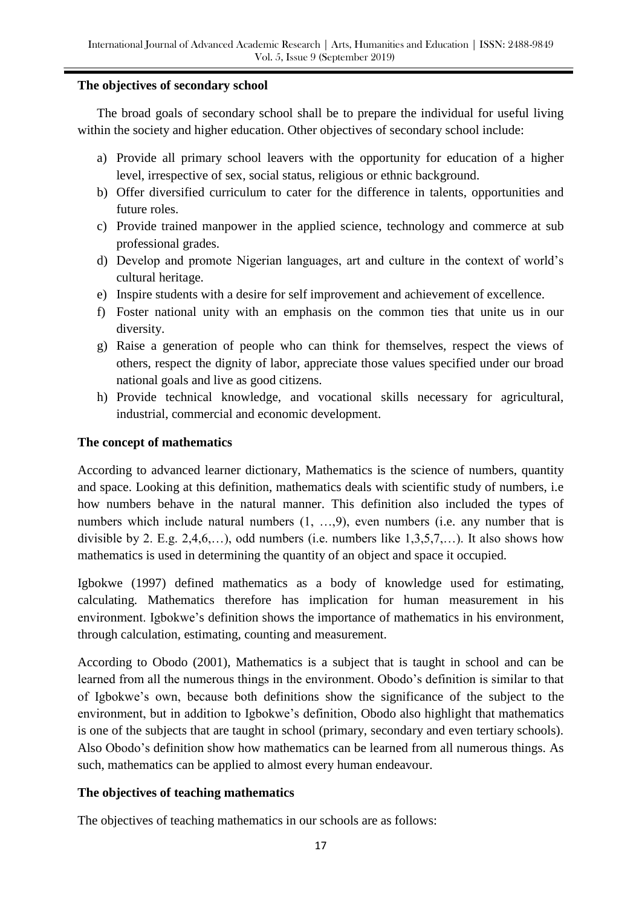#### **The objectives of secondary school**

The broad goals of secondary school shall be to prepare the individual for useful living within the society and higher education. Other objectives of secondary school include:

- a) Provide all primary school leavers with the opportunity for education of a higher level, irrespective of sex, social status, religious or ethnic background.
- b) Offer diversified curriculum to cater for the difference in talents, opportunities and future roles.
- c) Provide trained manpower in the applied science, technology and commerce at sub professional grades.
- d) Develop and promote Nigerian languages, art and culture in the context of world's cultural heritage.
- e) Inspire students with a desire for self improvement and achievement of excellence.
- f) Foster national unity with an emphasis on the common ties that unite us in our diversity.
- g) Raise a generation of people who can think for themselves, respect the views of others, respect the dignity of labor, appreciate those values specified under our broad national goals and live as good citizens.
- h) Provide technical knowledge, and vocational skills necessary for agricultural, industrial, commercial and economic development.

## **The concept of mathematics**

According to advanced learner dictionary, Mathematics is the science of numbers, quantity and space. Looking at this definition, mathematics deals with scientific study of numbers, i.e how numbers behave in the natural manner. This definition also included the types of numbers which include natural numbers  $(1, ..., 9)$ , even numbers (i.e. any number that is divisible by 2. E.g. 2,4,6,...), odd numbers (i.e. numbers like  $1,3,5,7,...$ ). It also shows how mathematics is used in determining the quantity of an object and space it occupied.

Igbokwe (1997) defined mathematics as a body of knowledge used for estimating, calculating. Mathematics therefore has implication for human measurement in his environment. Igbokwe's definition shows the importance of mathematics in his environment, through calculation, estimating, counting and measurement.

According to Obodo (2001), Mathematics is a subject that is taught in school and can be learned from all the numerous things in the environment. Obodo's definition is similar to that of Igbokwe's own, because both definitions show the significance of the subject to the environment, but in addition to Igbokwe's definition, Obodo also highlight that mathematics is one of the subjects that are taught in school (primary, secondary and even tertiary schools). Also Obodo's definition show how mathematics can be learned from all numerous things. As such, mathematics can be applied to almost every human endeavour.

## **The objectives of teaching mathematics**

The objectives of teaching mathematics in our schools are as follows: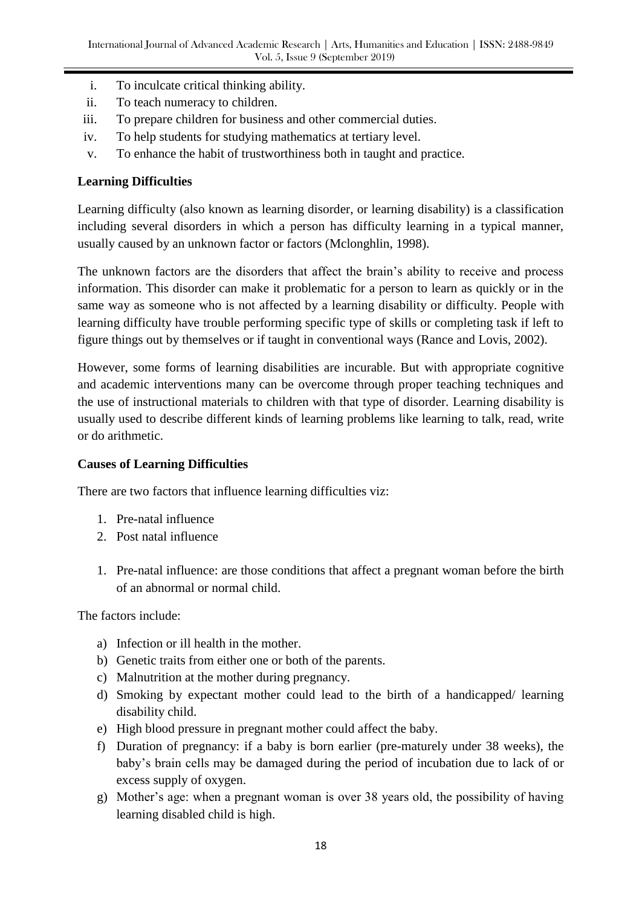- i. To inculcate critical thinking ability.
- ii. To teach numeracy to children.
- iii. To prepare children for business and other commercial duties.
- iv. To help students for studying mathematics at tertiary level.
- v. To enhance the habit of trustworthiness both in taught and practice.

## **Learning Difficulties**

Learning difficulty (also known as learning disorder, or learning disability) is a classification including several disorders in which a person has difficulty learning in a typical manner, usually caused by an unknown factor or factors (Mclonghlin, 1998).

The unknown factors are the disorders that affect the brain's ability to receive and process information. This disorder can make it problematic for a person to learn as quickly or in the same way as someone who is not affected by a learning disability or difficulty. People with learning difficulty have trouble performing specific type of skills or completing task if left to figure things out by themselves or if taught in conventional ways (Rance and Lovis, 2002).

However, some forms of learning disabilities are incurable. But with appropriate cognitive and academic interventions many can be overcome through proper teaching techniques and the use of instructional materials to children with that type of disorder. Learning disability is usually used to describe different kinds of learning problems like learning to talk, read, write or do arithmetic.

## **Causes of Learning Difficulties**

There are two factors that influence learning difficulties viz:

- 1. Pre-natal influence
- 2. Post natal influence
- 1. Pre-natal influence: are those conditions that affect a pregnant woman before the birth of an abnormal or normal child.

The factors include:

- a) Infection or ill health in the mother.
- b) Genetic traits from either one or both of the parents.
- c) Malnutrition at the mother during pregnancy.
- d) Smoking by expectant mother could lead to the birth of a handicapped/ learning disability child.
- e) High blood pressure in pregnant mother could affect the baby.
- f) Duration of pregnancy: if a baby is born earlier (pre-maturely under 38 weeks), the baby's brain cells may be damaged during the period of incubation due to lack of or excess supply of oxygen.
- g) Mother's age: when a pregnant woman is over 38 years old, the possibility of having learning disabled child is high.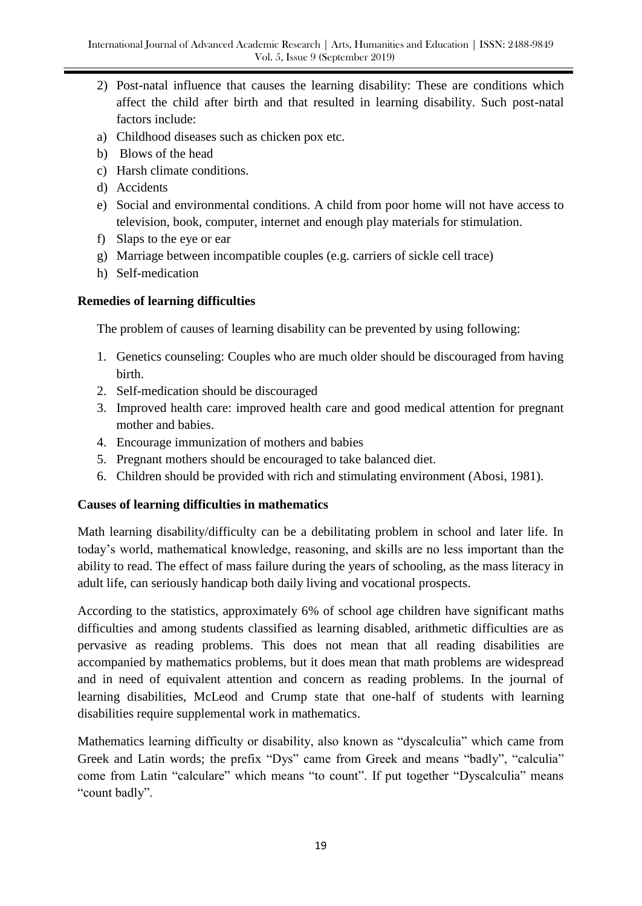- 2) Post-natal influence that causes the learning disability: These are conditions which affect the child after birth and that resulted in learning disability. Such post-natal factors include:
- a) Childhood diseases such as chicken pox etc.
- b) Blows of the head
- c) Harsh climate conditions.
- d) Accidents
- e) Social and environmental conditions. A child from poor home will not have access to television, book, computer, internet and enough play materials for stimulation.
- f) Slaps to the eye or ear
- g) Marriage between incompatible couples (e.g. carriers of sickle cell trace)
- h) Self-medication

## **Remedies of learning difficulties**

The problem of causes of learning disability can be prevented by using following:

- 1. Genetics counseling: Couples who are much older should be discouraged from having birth.
- 2. Self-medication should be discouraged
- 3. Improved health care: improved health care and good medical attention for pregnant mother and babies.
- 4. Encourage immunization of mothers and babies
- 5. Pregnant mothers should be encouraged to take balanced diet.
- 6. Children should be provided with rich and stimulating environment (Abosi, 1981).

## **Causes of learning difficulties in mathematics**

Math learning disability/difficulty can be a debilitating problem in school and later life. In today's world, mathematical knowledge, reasoning, and skills are no less important than the ability to read. The effect of mass failure during the years of schooling, as the mass literacy in adult life, can seriously handicap both daily living and vocational prospects.

According to the statistics, approximately 6% of school age children have significant maths difficulties and among students classified as learning disabled, arithmetic difficulties are as pervasive as reading problems. This does not mean that all reading disabilities are accompanied by mathematics problems, but it does mean that math problems are widespread and in need of equivalent attention and concern as reading problems. In the journal of learning disabilities, McLeod and Crump state that one-half of students with learning disabilities require supplemental work in mathematics.

Mathematics learning difficulty or disability, also known as "dyscalculia" which came from Greek and Latin words; the prefix "Dys" came from Greek and means "badly", "calculia" come from Latin "calculare" which means "to count". If put together "Dyscalculia" means "count badly".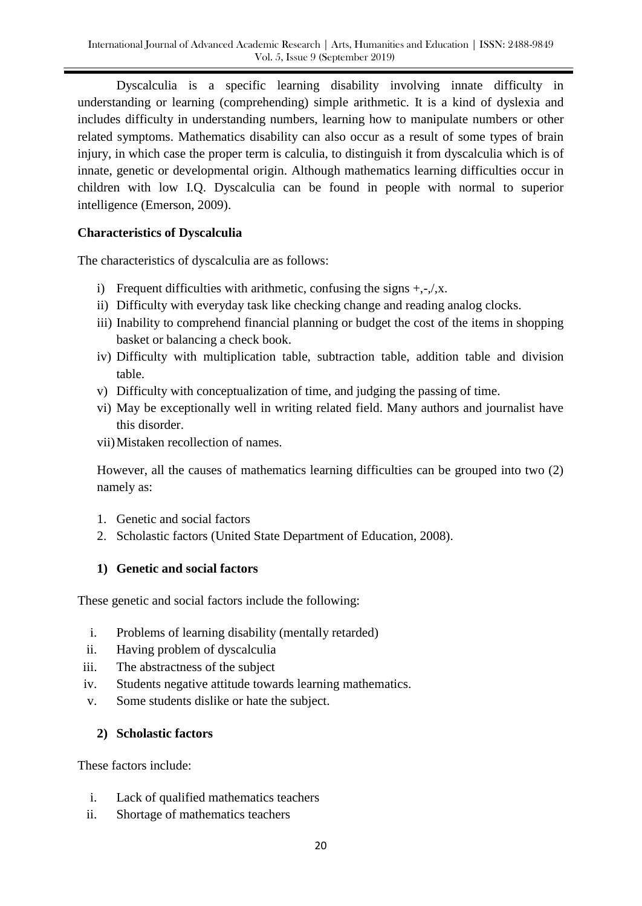Dyscalculia is a specific learning disability involving innate difficulty in understanding or learning (comprehending) simple arithmetic. It is a kind of dyslexia and includes difficulty in understanding numbers, learning how to manipulate numbers or other related symptoms. Mathematics disability can also occur as a result of some types of brain injury, in which case the proper term is calculia, to distinguish it from dyscalculia which is of innate, genetic or developmental origin. Although mathematics learning difficulties occur in children with low I.Q. Dyscalculia can be found in people with normal to superior intelligence (Emerson, 2009).

## **Characteristics of Dyscalculia**

The characteristics of dyscalculia are as follows:

- i) Frequent difficulties with arithmetic, confusing the signs  $+,-/x$ .
- ii) Difficulty with everyday task like checking change and reading analog clocks.
- iii) Inability to comprehend financial planning or budget the cost of the items in shopping basket or balancing a check book.
- iv) Difficulty with multiplication table, subtraction table, addition table and division table.
- v) Difficulty with conceptualization of time, and judging the passing of time.
- vi) May be exceptionally well in writing related field. Many authors and journalist have this disorder.
- vii)Mistaken recollection of names.

However, all the causes of mathematics learning difficulties can be grouped into two (2) namely as:

- 1. Genetic and social factors
- 2. Scholastic factors (United State Department of Education, 2008).

# **1) Genetic and social factors**

These genetic and social factors include the following:

- i. Problems of learning disability (mentally retarded)
- ii. Having problem of dyscalculia
- iii. The abstractness of the subject
- iv. Students negative attitude towards learning mathematics.
- v. Some students dislike or hate the subject.

# **2) Scholastic factors**

These factors include:

- i. Lack of qualified mathematics teachers
- ii. Shortage of mathematics teachers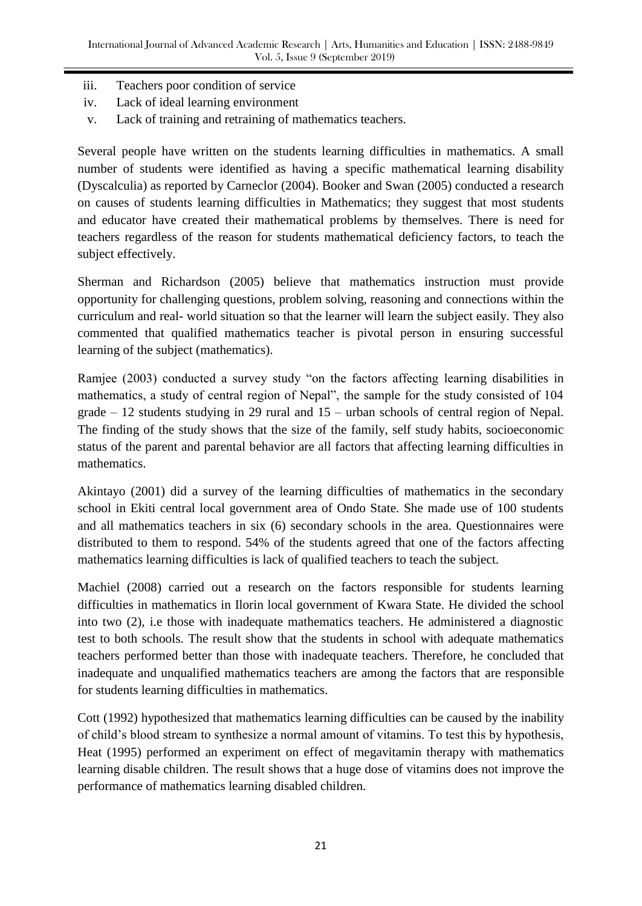- iii. Teachers poor condition of service
- iv. Lack of ideal learning environment
- v. Lack of training and retraining of mathematics teachers.

Several people have written on the students learning difficulties in mathematics. A small number of students were identified as having a specific mathematical learning disability (Dyscalculia) as reported by Carneclor (2004). Booker and Swan (2005) conducted a research on causes of students learning difficulties in Mathematics; they suggest that most students and educator have created their mathematical problems by themselves. There is need for teachers regardless of the reason for students mathematical deficiency factors, to teach the subject effectively.

Sherman and Richardson (2005) believe that mathematics instruction must provide opportunity for challenging questions, problem solving, reasoning and connections within the curriculum and real- world situation so that the learner will learn the subject easily. They also commented that qualified mathematics teacher is pivotal person in ensuring successful learning of the subject (mathematics).

Ramjee (2003) conducted a survey study "on the factors affecting learning disabilities in mathematics, a study of central region of Nepal", the sample for the study consisted of 104 grade – 12 students studying in 29 rural and 15 – urban schools of central region of Nepal. The finding of the study shows that the size of the family, self study habits, socioeconomic status of the parent and parental behavior are all factors that affecting learning difficulties in mathematics.

Akintayo (2001) did a survey of the learning difficulties of mathematics in the secondary school in Ekiti central local government area of Ondo State. She made use of 100 students and all mathematics teachers in six (6) secondary schools in the area. Questionnaires were distributed to them to respond. 54% of the students agreed that one of the factors affecting mathematics learning difficulties is lack of qualified teachers to teach the subject.

Machiel (2008) carried out a research on the factors responsible for students learning difficulties in mathematics in Ilorin local government of Kwara State. He divided the school into two (2), i.e those with inadequate mathematics teachers. He administered a diagnostic test to both schools. The result show that the students in school with adequate mathematics teachers performed better than those with inadequate teachers. Therefore, he concluded that inadequate and unqualified mathematics teachers are among the factors that are responsible for students learning difficulties in mathematics.

Cott (1992) hypothesized that mathematics learning difficulties can be caused by the inability of child's blood stream to synthesize a normal amount of vitamins. To test this by hypothesis, Heat (1995) performed an experiment on effect of megavitamin therapy with mathematics learning disable children. The result shows that a huge dose of vitamins does not improve the performance of mathematics learning disabled children.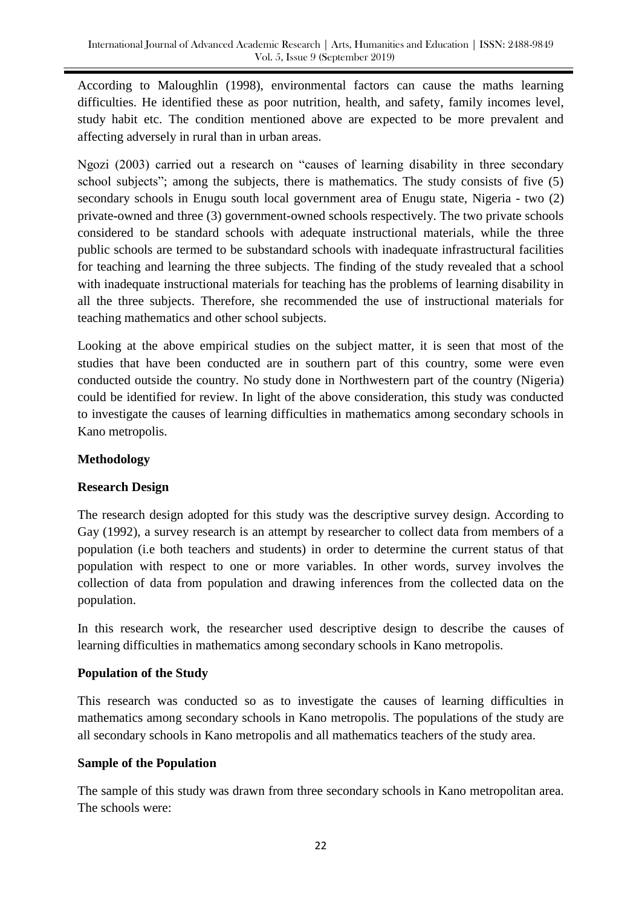According to Maloughlin (1998), environmental factors can cause the maths learning difficulties. He identified these as poor nutrition, health, and safety, family incomes level, study habit etc. The condition mentioned above are expected to be more prevalent and affecting adversely in rural than in urban areas.

Ngozi (2003) carried out a research on "causes of learning disability in three secondary school subjects"; among the subjects, there is mathematics. The study consists of five (5) secondary schools in Enugu south local government area of Enugu state, Nigeria - two (2) private-owned and three (3) government-owned schools respectively. The two private schools considered to be standard schools with adequate instructional materials, while the three public schools are termed to be substandard schools with inadequate infrastructural facilities for teaching and learning the three subjects. The finding of the study revealed that a school with inadequate instructional materials for teaching has the problems of learning disability in all the three subjects. Therefore, she recommended the use of instructional materials for teaching mathematics and other school subjects.

Looking at the above empirical studies on the subject matter, it is seen that most of the studies that have been conducted are in southern part of this country, some were even conducted outside the country. No study done in Northwestern part of the country (Nigeria) could be identified for review. In light of the above consideration, this study was conducted to investigate the causes of learning difficulties in mathematics among secondary schools in Kano metropolis.

## **Methodology**

## **Research Design**

The research design adopted for this study was the descriptive survey design. According to Gay (1992), a survey research is an attempt by researcher to collect data from members of a population (i.e both teachers and students) in order to determine the current status of that population with respect to one or more variables. In other words, survey involves the collection of data from population and drawing inferences from the collected data on the population.

In this research work, the researcher used descriptive design to describe the causes of learning difficulties in mathematics among secondary schools in Kano metropolis.

## **Population of the Study**

This research was conducted so as to investigate the causes of learning difficulties in mathematics among secondary schools in Kano metropolis. The populations of the study are all secondary schools in Kano metropolis and all mathematics teachers of the study area.

## **Sample of the Population**

The sample of this study was drawn from three secondary schools in Kano metropolitan area. The schools were: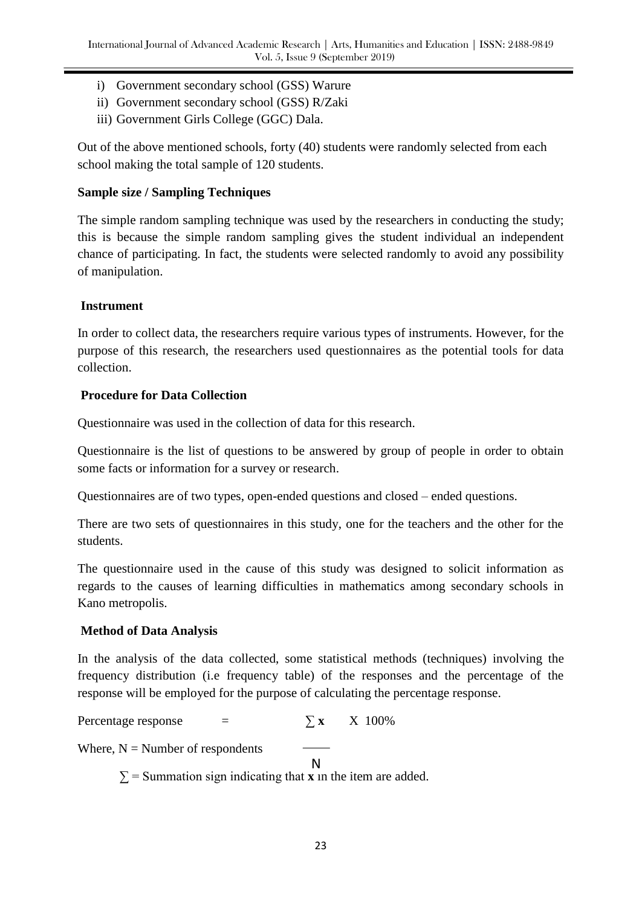- i) Government secondary school (GSS) Warure
- ii) Government secondary school (GSS) R/Zaki
- iii) Government Girls College (GGC) Dala.

Out of the above mentioned schools, forty (40) students were randomly selected from each school making the total sample of 120 students.

## **Sample size / Sampling Techniques**

The simple random sampling technique was used by the researchers in conducting the study; this is because the simple random sampling gives the student individual an independent chance of participating. In fact, the students were selected randomly to avoid any possibility of manipulation.

## **Instrument**

In order to collect data, the researchers require various types of instruments. However, for the purpose of this research, the researchers used questionnaires as the potential tools for data collection.

## **Procedure for Data Collection**

Questionnaire was used in the collection of data for this research.

Questionnaire is the list of questions to be answered by group of people in order to obtain some facts or information for a survey or research.

Questionnaires are of two types, open-ended questions and closed – ended questions.

There are two sets of questionnaires in this study, one for the teachers and the other for the students.

The questionnaire used in the cause of this study was designed to solicit information as regards to the causes of learning difficulties in mathematics among secondary schools in Kano metropolis.

# **Method of Data Analysis**

In the analysis of the data collected, some statistical methods (techniques) involving the frequency distribution (i.e frequency table) of the responses and the percentage of the response will be employed for the purpose of calculating the percentage response.

Percentage response  $=$   $\sum x \times 100\%$ 

Where,  $N =$  Number of respondents

N

 $\Sigma$  = Summation sign indicating that **x** in the item are added.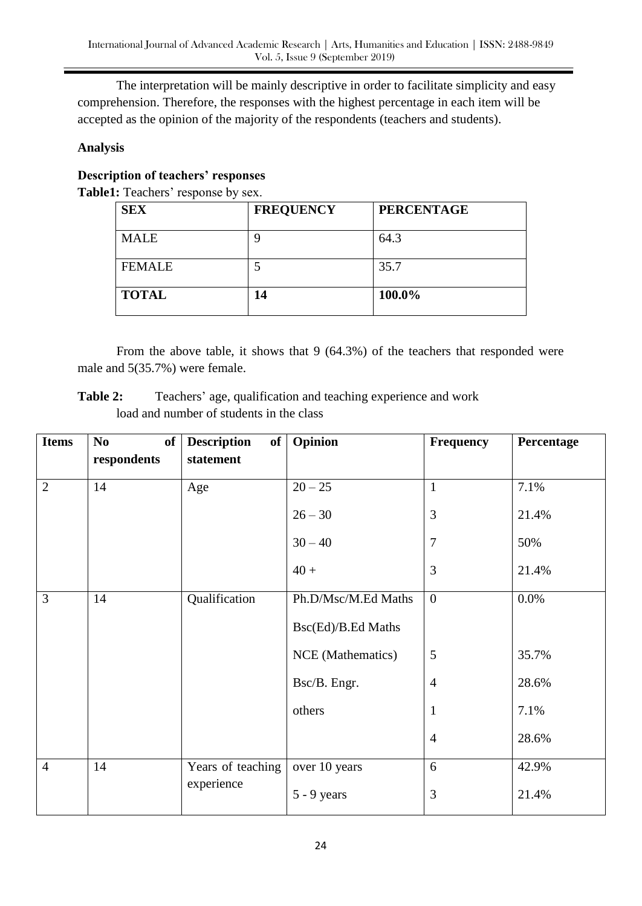The interpretation will be mainly descriptive in order to facilitate simplicity and easy comprehension. Therefore, the responses with the highest percentage in each item will be accepted as the opinion of the majority of the respondents (teachers and students).

## **Analysis**

# **Description of teachers' responses**

**Table1:** Teachers' response by sex.

| <b>SEX</b>    | <b>FREQUENCY</b> | <b>PERCENTAGE</b> |
|---------------|------------------|-------------------|
| <b>MALE</b>   | q                | 64.3              |
| <b>FEMALE</b> |                  | 35.7              |
| <b>TOTAL</b>  | 14               | 100.0%            |

From the above table, it shows that 9 (64.3%) of the teachers that responded were male and 5(35.7%) were female.

**Table 2:** Teachers' age, qualification and teaching experience and work load and number of students in the class

| <b>Items</b>   | N <sub>0</sub><br>of | <b>Description</b><br>of | Opinion             | <b>Frequency</b> | Percentage |
|----------------|----------------------|--------------------------|---------------------|------------------|------------|
|                | respondents          | statement                |                     |                  |            |
| $\overline{2}$ | 14                   | Age                      | $20 - 25$           | $\mathbf{1}$     | 7.1%       |
|                |                      |                          | $26 - 30$           | 3                | 21.4%      |
|                |                      |                          | $30 - 40$           | $\overline{7}$   | 50%        |
|                |                      |                          | $40 +$              | 3                | 21.4%      |
| 3              | 14                   | Qualification            | Ph.D/Msc/M.Ed Maths | $\overline{0}$   | 0.0%       |
|                |                      |                          | Bsc(Ed)/B.Ed Maths  |                  |            |
|                |                      |                          | NCE (Mathematics)   | $\mathfrak{S}$   | 35.7%      |
|                |                      |                          | Bsc/B. Engr.        | $\overline{4}$   | 28.6%      |
|                |                      |                          | others              | $\mathbf{1}$     | 7.1%       |
|                |                      |                          |                     | $\overline{4}$   | 28.6%      |
| $\overline{4}$ | 14                   | Years of teaching        | over 10 years       | 6                | 42.9%      |
|                |                      | experience               | $5 - 9$ years       | 3                | 21.4%      |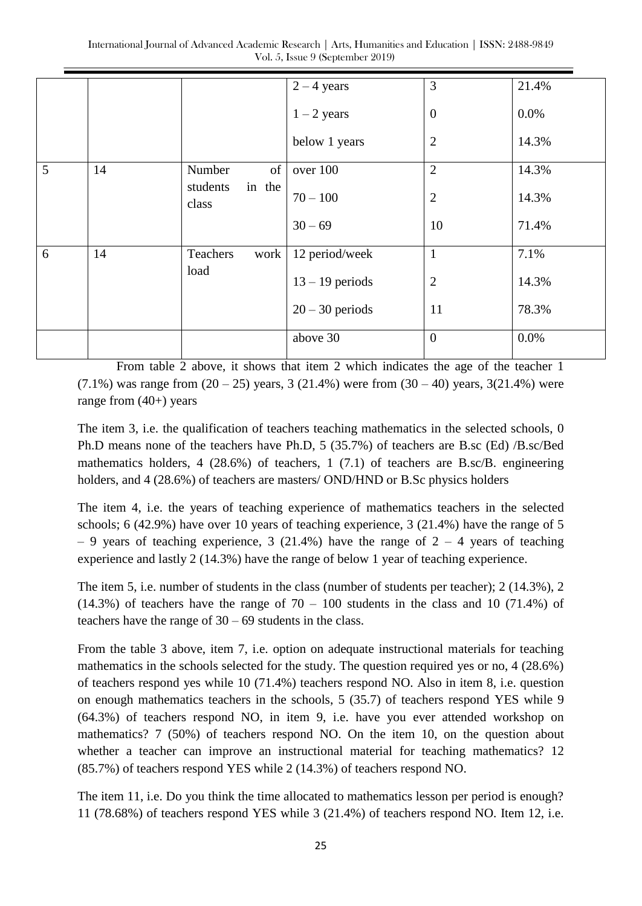|   |    |                             | $2 - 4$ years     | 3                | 21.4% |
|---|----|-----------------------------|-------------------|------------------|-------|
|   |    |                             | $1 - 2$ years     | $\boldsymbol{0}$ | 0.0%  |
|   |    |                             | below 1 years     | $\mathbf{2}$     | 14.3% |
| 5 | 14 | of<br>Number                | over 100          | $\mathbf{2}$     | 14.3% |
|   |    | in the<br>students<br>class | $70 - 100$        | $\overline{2}$   | 14.3% |
|   |    |                             | $30 - 69$         | 10               | 71.4% |
| 6 | 14 | Teachers<br>work            | 12 period/week    | $\mathbf{1}$     | 7.1%  |
|   |    | load                        | $13 - 19$ periods | $\mathbf{2}$     | 14.3% |
|   |    |                             | $20 - 30$ periods | 11               | 78.3% |
|   |    |                             | above 30          | $\overline{0}$   | 0.0%  |

From table 2 above, it shows that item 2 which indicates the age of the teacher 1  $(7.1\%)$  was range from  $(20 - 25)$  years, 3 (21.4%) were from  $(30 - 40)$  years, 3(21.4%) were range from  $(40+)$  years

The item 3, i.e. the qualification of teachers teaching mathematics in the selected schools, 0 Ph.D means none of the teachers have Ph.D, 5 (35.7%) of teachers are B.sc (Ed) /B.sc/Bed mathematics holders, 4 (28.6%) of teachers, 1 (7.1) of teachers are B.sc/B. engineering holders, and 4 (28.6%) of teachers are masters/ OND/HND or B.Sc physics holders

The item 4, i.e. the years of teaching experience of mathematics teachers in the selected schools; 6 (42.9%) have over 10 years of teaching experience, 3 (21.4%) have the range of 5  $-9$  years of teaching experience, 3 (21.4%) have the range of  $2 - 4$  years of teaching experience and lastly 2 (14.3%) have the range of below 1 year of teaching experience.

The item 5, i.e. number of students in the class (number of students per teacher); 2 (14.3%), 2  $(14.3%)$  of teachers have the range of  $70 - 100$  students in the class and 10 (71.4%) of teachers have the range of 30 – 69 students in the class.

From the table 3 above, item 7, i.e. option on adequate instructional materials for teaching mathematics in the schools selected for the study. The question required yes or no, 4 (28.6%) of teachers respond yes while 10 (71.4%) teachers respond NO. Also in item 8, i.e. question on enough mathematics teachers in the schools, 5 (35.7) of teachers respond YES while 9 (64.3%) of teachers respond NO, in item 9, i.e. have you ever attended workshop on mathematics? 7 (50%) of teachers respond NO. On the item 10, on the question about whether a teacher can improve an instructional material for teaching mathematics? 12 (85.7%) of teachers respond YES while 2 (14.3%) of teachers respond NO.

The item 11, i.e. Do you think the time allocated to mathematics lesson per period is enough? 11 (78.68%) of teachers respond YES while 3 (21.4%) of teachers respond NO. Item 12, i.e.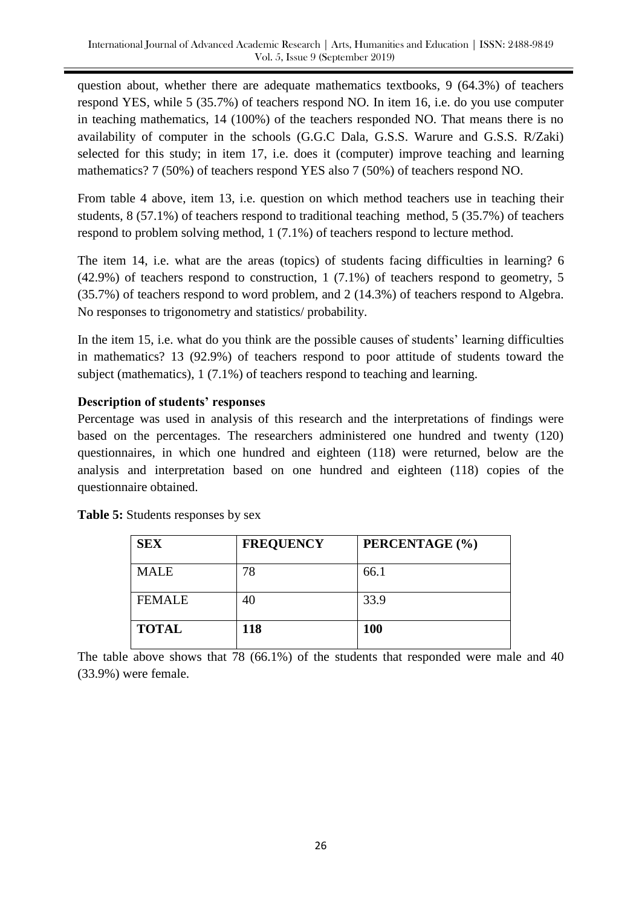question about, whether there are adequate mathematics textbooks, 9 (64.3%) of teachers respond YES, while 5 (35.7%) of teachers respond NO. In item 16, i.e. do you use computer in teaching mathematics, 14 (100%) of the teachers responded NO. That means there is no availability of computer in the schools (G.G.C Dala, G.S.S. Warure and G.S.S. R/Zaki) selected for this study; in item 17, i.e. does it (computer) improve teaching and learning mathematics? 7 (50%) of teachers respond YES also 7 (50%) of teachers respond NO.

From table 4 above, item 13, i.e. question on which method teachers use in teaching their students, 8 (57.1%) of teachers respond to traditional teaching method, 5 (35.7%) of teachers respond to problem solving method, 1 (7.1%) of teachers respond to lecture method.

The item 14, i.e. what are the areas (topics) of students facing difficulties in learning? 6 (42.9%) of teachers respond to construction, 1 (7.1%) of teachers respond to geometry, 5 (35.7%) of teachers respond to word problem, and 2 (14.3%) of teachers respond to Algebra. No responses to trigonometry and statistics/ probability.

In the item 15, i.e. what do you think are the possible causes of students' learning difficulties in mathematics? 13 (92.9%) of teachers respond to poor attitude of students toward the subject (mathematics), 1 (7.1%) of teachers respond to teaching and learning.

# **Description of students' responses**

Percentage was used in analysis of this research and the interpretations of findings were based on the percentages. The researchers administered one hundred and twenty (120) questionnaires, in which one hundred and eighteen (118) were returned, below are the analysis and interpretation based on one hundred and eighteen (118) copies of the questionnaire obtained.

| <b>SEX</b>    | <b>FREQUENCY</b> | PERCENTAGE (%) |
|---------------|------------------|----------------|
| <b>MALE</b>   | 78               | 66.1           |
| <b>FEMALE</b> | 40               | 33.9           |
| <b>TOTAL</b>  | 118              | <b>100</b>     |

**Table 5:** Students responses by sex

The table above shows that 78 (66.1%) of the students that responded were male and 40 (33.9%) were female.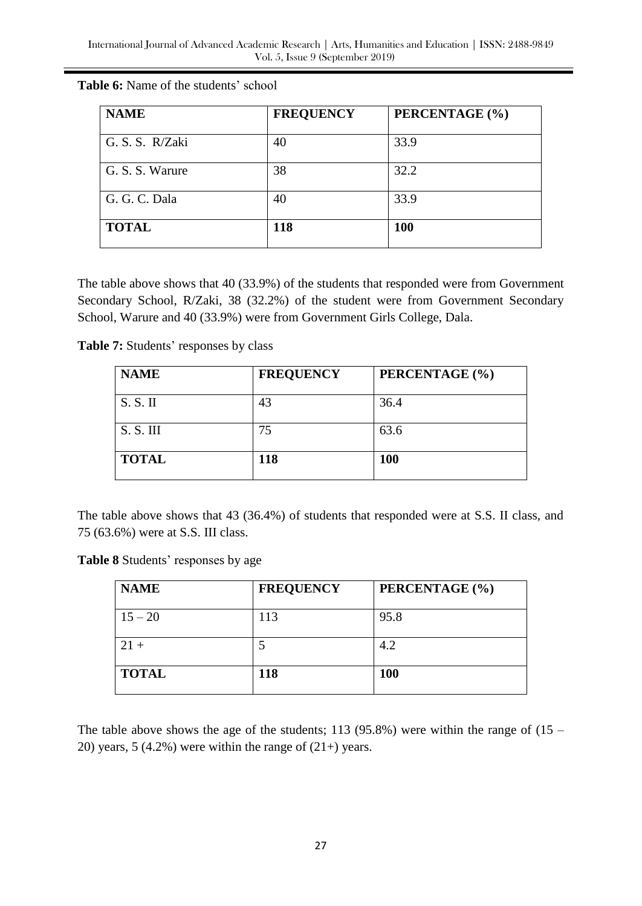| <b>NAME</b>     | <b>FREQUENCY</b> | PERCENTAGE (%) |
|-----------------|------------------|----------------|
| G. S. S. R/Zaki | 40               | 33.9           |
| G. S. S. Warure | 38               | 32.2           |
| G. G. C. Dala   | 40               | 33.9           |
| <b>TOTAL</b>    | 118              | <b>100</b>     |

**Table 6:** Name of the students' school

The table above shows that 40 (33.9%) of the students that responded were from Government Secondary School, R/Zaki, 38 (32.2%) of the student were from Government Secondary School, Warure and 40 (33.9%) were from Government Girls College, Dala.

**Table 7:** Students' responses by class

| <b>NAME</b>  | <b>FREQUENCY</b> | PERCENTAGE (%) |
|--------------|------------------|----------------|
| S. S. II     | 43               | 36.4           |
| S. S. III    | 75               | 63.6           |
| <b>TOTAL</b> | 118              | <b>100</b>     |

The table above shows that 43 (36.4%) of students that responded were at S.S. II class, and 75 (63.6%) were at S.S. III class.

**Table 8** Students' responses by age

| <b>NAME</b>  | <b>FREQUENCY</b> | PERCENTAGE (%) |
|--------------|------------------|----------------|
| $15 - 20$    | 113              | 95.8           |
| $21 +$       |                  | 4.2            |
| <b>TOTAL</b> | 118              | <b>100</b>     |

The table above shows the age of the students; 113 (95.8%) were within the range of  $(15 -$ 20) years, 5 (4.2%) were within the range of  $(21+)$  years.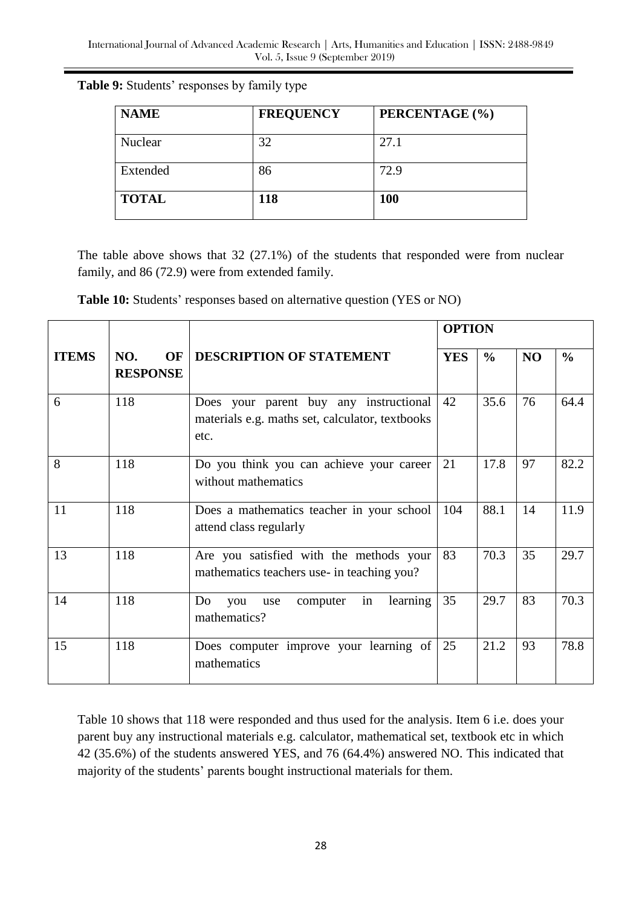| <b>NAME</b> | <b>FREQUENCY</b> | PERCENTAGE (%) |
|-------------|------------------|----------------|
| Nuclear     |                  | 27.1           |
| Extended    |                  |                |

**TOTAL 118 100**

#### **Table 9:** Students' responses by family type

The table above shows that 32 (27.1%) of the students that responded were from nuclear family, and 86 (72.9) were from extended family.

| Table 10: Students' responses based on alternative question (YES or NO) |  |  |  |  |  |
|-------------------------------------------------------------------------|--|--|--|--|--|
|-------------------------------------------------------------------------|--|--|--|--|--|

|              |                              |                                                                                                   |            | <b>OPTION</b> |                |               |  |
|--------------|------------------------------|---------------------------------------------------------------------------------------------------|------------|---------------|----------------|---------------|--|
| <b>ITEMS</b> | NO.<br>OF<br><b>RESPONSE</b> | <b>DESCRIPTION OF STATEMENT</b>                                                                   | <b>YES</b> | $\frac{6}{9}$ | N <sub>O</sub> | $\frac{6}{6}$ |  |
| 6            | 118                          | Does your parent buy any instructional<br>materials e.g. maths set, calculator, textbooks<br>etc. | 42         | 35.6          | 76             | 64.4          |  |
| 8            | 118                          | Do you think you can achieve your career<br>without mathematics                                   | 21         | 17.8          | 97             | 82.2          |  |
| 11           | 118                          | Does a mathematics teacher in your school<br>attend class regularly                               | 104        | 88.1          | 14             | 11.9          |  |
| 13           | 118                          | Are you satisfied with the methods your<br>mathematics teachers use- in teaching you?             | 83         | 70.3          | 35             | 29.7          |  |
| 14           | 118                          | in<br>learning<br>Do<br>computer<br>you<br>use<br>mathematics?                                    | 35         | 29.7          | 83             | 70.3          |  |
| 15           | 118                          | Does computer improve your learning of<br>mathematics                                             | 25         | 21.2          | 93             | 78.8          |  |

Table 10 shows that 118 were responded and thus used for the analysis. Item 6 i.e. does your parent buy any instructional materials e.g. calculator, mathematical set, textbook etc in which 42 (35.6%) of the students answered YES, and 76 (64.4%) answered NO. This indicated that majority of the students' parents bought instructional materials for them.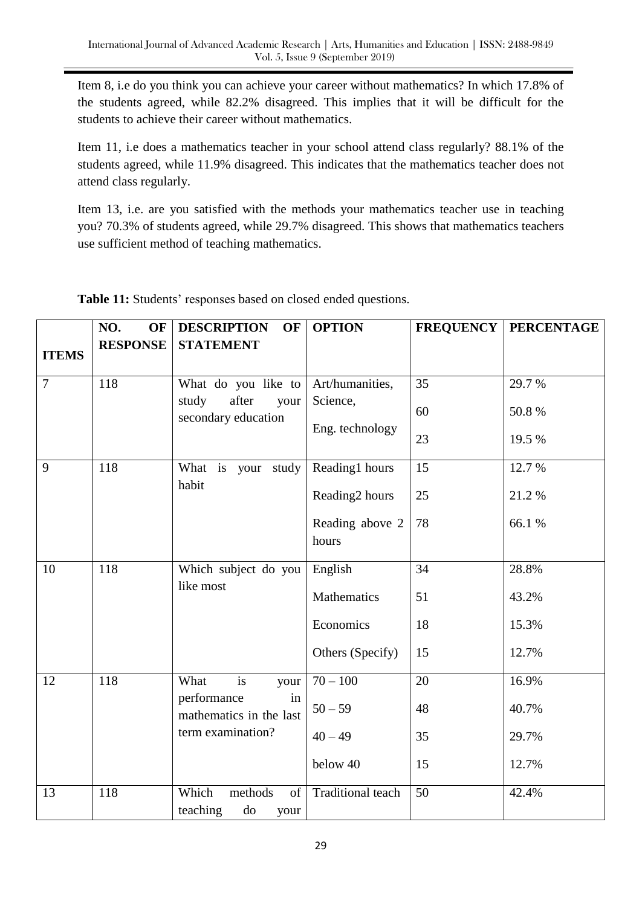Item 8, i.e do you think you can achieve your career without mathematics? In which 17.8% of the students agreed, while 82.2% disagreed. This implies that it will be difficult for the students to achieve their career without mathematics.

Item 11, i.e does a mathematics teacher in your school attend class regularly? 88.1% of the students agreed, while 11.9% disagreed. This indicates that the mathematics teacher does not attend class regularly.

Item 13, i.e. are you satisfied with the methods your mathematics teacher use in teaching you? 70.3% of students agreed, while 29.7% disagreed. This shows that mathematics teachers use sufficient method of teaching mathematics.

|                | NO.<br>OF       | <b>DESCRIPTION</b><br><b>OF</b>                  | <b>OPTION</b>               |                 | <b>FREQUENCY   PERCENTAGE</b> |
|----------------|-----------------|--------------------------------------------------|-----------------------------|-----------------|-------------------------------|
| <b>ITEMS</b>   | <b>RESPONSE</b> | <b>STATEMENT</b>                                 |                             |                 |                               |
| $\overline{7}$ | 118             | What do you like to<br>after<br>study<br>your    | Art/humanities,<br>Science, | 35              | 29.7%                         |
|                |                 | secondary education                              | Eng. technology             | 60              | 50.8%                         |
|                |                 |                                                  |                             | 23              | 19.5 %                        |
| 9              | 118             | What is your study<br>habit                      | Reading1 hours              | 15              | 12.7 %                        |
|                |                 |                                                  | Reading <sub>2</sub> hours  | 25              | 21.2%                         |
|                |                 |                                                  | Reading above 2<br>hours    | 78              | 66.1%                         |
| 10             | 118             | Which subject do you<br>like most                | English                     | 34              | 28.8%                         |
|                |                 |                                                  | Mathematics                 | 51              | 43.2%                         |
|                |                 |                                                  | Economics                   | 18              | 15.3%                         |
|                |                 |                                                  | Others (Specify)            | 15              | 12.7%                         |
| 12             | 118             | is<br>What<br>your<br>performance<br>in          | $70 - 100$                  | 20              | 16.9%                         |
|                |                 | mathematics in the last                          | $50 - 59$                   | 48              | 40.7%                         |
|                |                 | term examination?                                | $40 - 49$                   | 35              | 29.7%                         |
|                |                 |                                                  | below 40                    | 15              | 12.7%                         |
| 13             | 118             | Which<br>methods<br>of<br>teaching<br>do<br>your | Traditional teach           | $\overline{50}$ | 42.4%                         |

**Table 11:** Students' responses based on closed ended questions.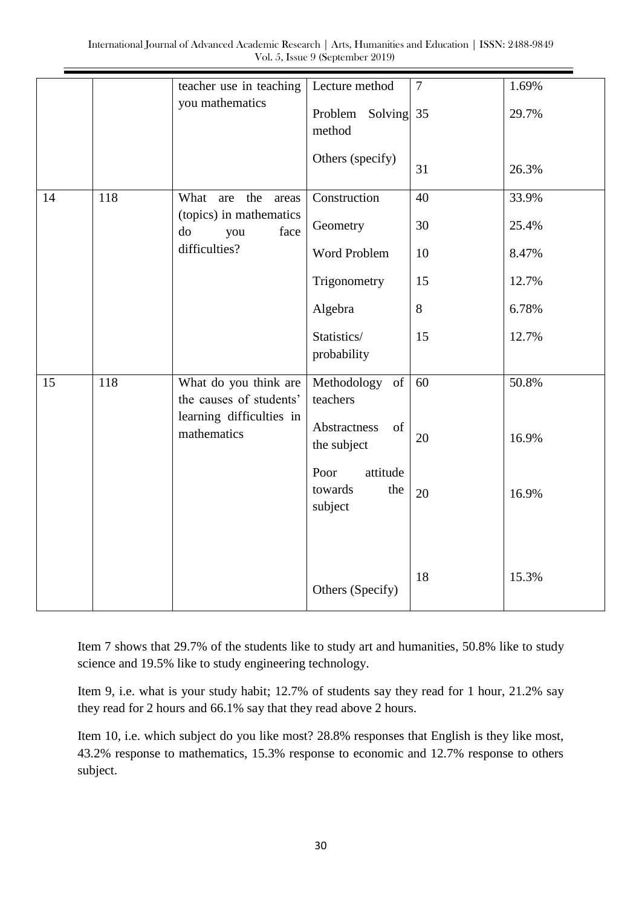|    |     | teacher use in teaching<br>you mathematics       | Lecture method                                | $\tau$ | 1.69% |
|----|-----|--------------------------------------------------|-----------------------------------------------|--------|-------|
|    |     |                                                  | Problem<br>Solving 35<br>method               |        | 29.7% |
|    |     |                                                  | Others (specify)                              | 31     | 26.3% |
| 14 | 118 | the<br>What<br>are<br>areas                      | Construction                                  | 40     | 33.9% |
|    |     | (topics) in mathematics<br>do<br>face<br>you     | Geometry                                      | 30     | 25.4% |
|    |     | difficulties?                                    | Word Problem                                  | 10     | 8.47% |
|    |     |                                                  | Trigonometry                                  | 15     | 12.7% |
|    |     |                                                  | Algebra                                       | $8\,$  | 6.78% |
|    |     |                                                  | Statistics/<br>probability                    | 15     | 12.7% |
|    | 118 |                                                  |                                               | 60     | 50.8% |
| 15 |     | What do you think are<br>the causes of students' | Methodology of<br>teachers                    |        |       |
|    |     | learning difficulties in<br>mathematics          | Abstractness<br>of<br>the subject             | 20     | 16.9% |
|    |     |                                                  | Poor<br>attitude<br>towards<br>the<br>subject | 20     | 16.9% |
|    |     |                                                  | Others (Specify)                              | 18     | 15.3% |

Item 7 shows that 29.7% of the students like to study art and humanities, 50.8% like to study science and 19.5% like to study engineering technology.

Item 9, i.e. what is your study habit; 12.7% of students say they read for 1 hour, 21.2% say they read for 2 hours and 66.1% say that they read above 2 hours.

Item 10, i.e. which subject do you like most? 28.8% responses that English is they like most, 43.2% response to mathematics, 15.3% response to economic and 12.7% response to others subject.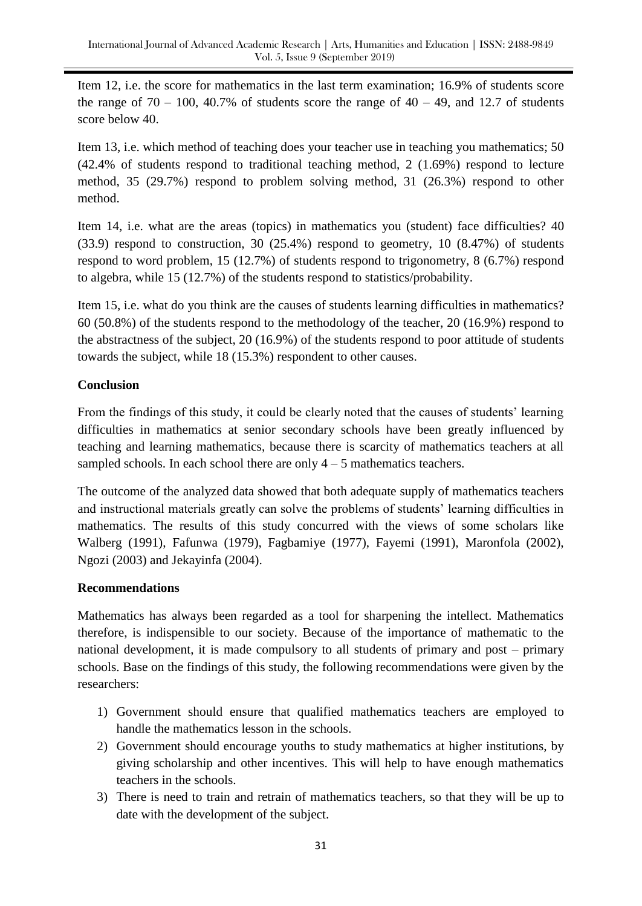Item 12, i.e. the score for mathematics in the last term examination; 16.9% of students score the range of  $70 - 100$ ,  $40.7\%$  of students score the range of  $40 - 49$ , and 12.7 of students score below 40.

Item 13, i.e. which method of teaching does your teacher use in teaching you mathematics; 50 (42.4% of students respond to traditional teaching method, 2 (1.69%) respond to lecture method, 35 (29.7%) respond to problem solving method, 31 (26.3%) respond to other method.

Item 14, i.e. what are the areas (topics) in mathematics you (student) face difficulties? 40 (33.9) respond to construction, 30 (25.4%) respond to geometry, 10 (8.47%) of students respond to word problem, 15 (12.7%) of students respond to trigonometry, 8 (6.7%) respond to algebra, while 15 (12.7%) of the students respond to statistics/probability.

Item 15, i.e. what do you think are the causes of students learning difficulties in mathematics? 60 (50.8%) of the students respond to the methodology of the teacher, 20 (16.9%) respond to the abstractness of the subject, 20 (16.9%) of the students respond to poor attitude of students towards the subject, while 18 (15.3%) respondent to other causes.

# **Conclusion**

From the findings of this study, it could be clearly noted that the causes of students' learning difficulties in mathematics at senior secondary schools have been greatly influenced by teaching and learning mathematics, because there is scarcity of mathematics teachers at all sampled schools. In each school there are only  $4 - 5$  mathematics teachers.

The outcome of the analyzed data showed that both adequate supply of mathematics teachers and instructional materials greatly can solve the problems of students' learning difficulties in mathematics. The results of this study concurred with the views of some scholars like Walberg (1991), Fafunwa (1979), Fagbamiye (1977), Fayemi (1991), Maronfola (2002), Ngozi (2003) and Jekayinfa (2004).

# **Recommendations**

Mathematics has always been regarded as a tool for sharpening the intellect. Mathematics therefore, is indispensible to our society. Because of the importance of mathematic to the national development, it is made compulsory to all students of primary and post – primary schools. Base on the findings of this study, the following recommendations were given by the researchers:

- 1) Government should ensure that qualified mathematics teachers are employed to handle the mathematics lesson in the schools.
- 2) Government should encourage youths to study mathematics at higher institutions, by giving scholarship and other incentives. This will help to have enough mathematics teachers in the schools.
- 3) There is need to train and retrain of mathematics teachers, so that they will be up to date with the development of the subject.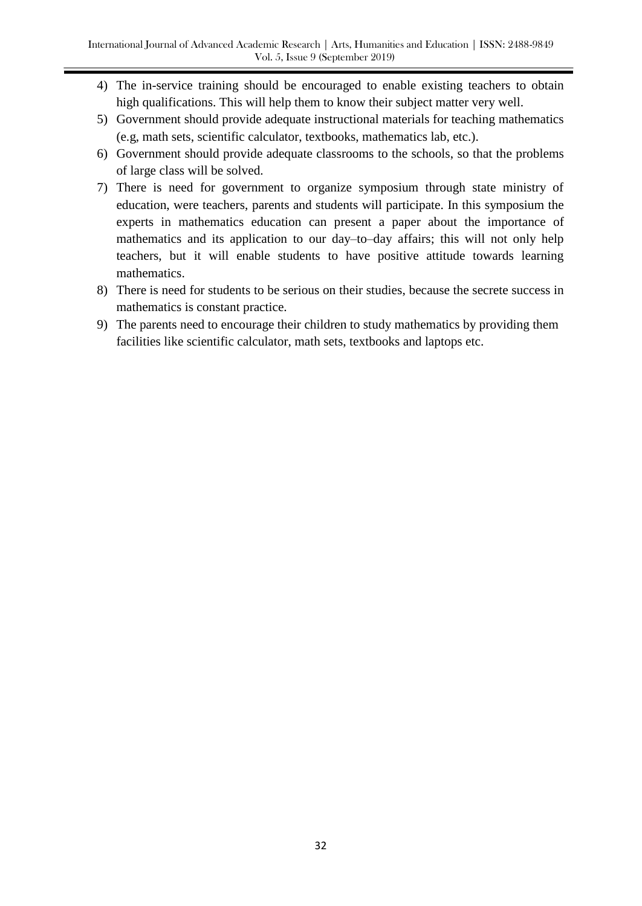- 4) The in-service training should be encouraged to enable existing teachers to obtain high qualifications. This will help them to know their subject matter very well.
- 5) Government should provide adequate instructional materials for teaching mathematics (e.g, math sets, scientific calculator, textbooks, mathematics lab, etc.).
- 6) Government should provide adequate classrooms to the schools, so that the problems of large class will be solved.
- 7) There is need for government to organize symposium through state ministry of education, were teachers, parents and students will participate. In this symposium the experts in mathematics education can present a paper about the importance of mathematics and its application to our day–to–day affairs; this will not only help teachers, but it will enable students to have positive attitude towards learning mathematics.
- 8) There is need for students to be serious on their studies, because the secrete success in mathematics is constant practice.
- 9) The parents need to encourage their children to study mathematics by providing them facilities like scientific calculator, math sets, textbooks and laptops etc.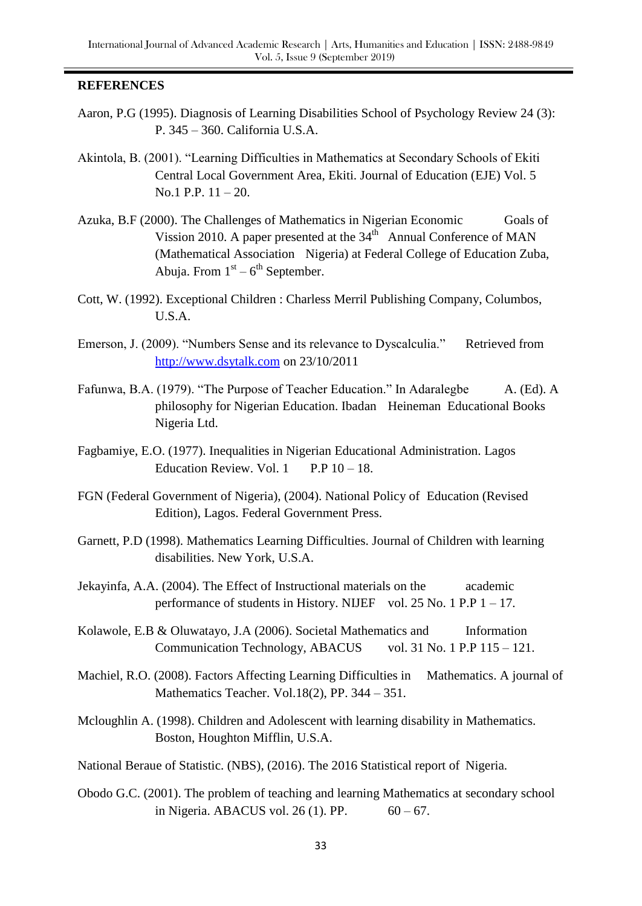## **REFERENCES**

- Aaron, P.G (1995). Diagnosis of Learning Disabilities School of Psychology Review 24 (3): P. 345 – 360. California U.S.A.
- Akintola, B. (2001). "Learning Difficulties in Mathematics at Secondary Schools of Ekiti Central Local Government Area, Ekiti. Journal of Education (EJE) Vol. 5 No.1 P.P. 11 – 20.
- Azuka, B.F (2000). The Challenges of Mathematics in Nigerian Economic Goals of Vission 2010. A paper presented at the  $34<sup>th</sup>$  Annual Conference of MAN (Mathematical Association Nigeria) at Federal College of Education Zuba, Abuja. From  $1<sup>st</sup> - 6<sup>th</sup>$  September.
- Cott, W. (1992). Exceptional Children : Charless Merril Publishing Company, Columbos, U.S.A.
- Emerson, J. (2009). "Numbers Sense and its relevance to Dyscalculia." Retrieved from [http://www.dsytalk.com](http://www.dsytalk.com/) on 23/10/2011
- Fafunwa, B.A. (1979). "The Purpose of Teacher Education." In Adaralegbe A. (Ed). A philosophy for Nigerian Education. Ibadan Heineman Educational Books Nigeria Ltd.
- Fagbamiye, E.O. (1977). Inequalities in Nigerian Educational Administration. Lagos Education Review. Vol.  $1$  P.P  $10-18$ .
- FGN (Federal Government of Nigeria), (2004). National Policy of Education (Revised Edition), Lagos. Federal Government Press.
- Garnett, P.D (1998). Mathematics Learning Difficulties. Journal of Children with learning disabilities. New York, U.S.A.
- Jekayinfa, A.A. (2004). The Effect of Instructional materials on the academic performance of students in History. NIJEF vol. 25 No. 1 P.P 1 – 17.
- Kolawole, E.B & Oluwatayo, J.A (2006). Societal Mathematics and Information Communication Technology, ABACUS vol. 31 No. 1 P.P 115 – 121.
- Machiel, R.O. (2008). Factors Affecting Learning Difficulties in Mathematics. A journal of Mathematics Teacher. Vol.18(2), PP. 344 – 351.
- Mcloughlin A. (1998). Children and Adolescent with learning disability in Mathematics. Boston, Houghton Mifflin, U.S.A.
- National Beraue of Statistic. (NBS), (2016). The 2016 Statistical report of Nigeria.
- Obodo G.C. (2001). The problem of teaching and learning Mathematics at secondary school in Nigeria. ABACUS vol. 26 (1). PP.  $60 - 67$ .